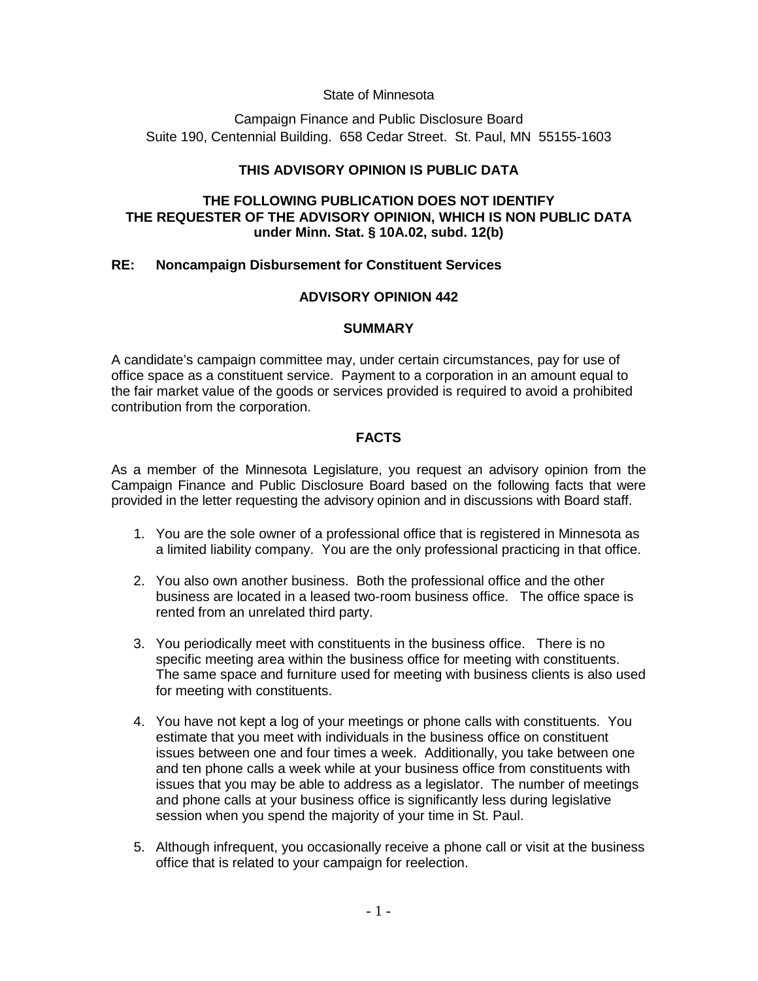## State of Minnesota

Campaign Finance and Public Disclosure Board Suite 190, Centennial Building. 658 Cedar Street. St. Paul, MN 55155-1603

# **THIS ADVISORY OPINION IS PUBLIC DATA**

## **THE FOLLOWING PUBLICATION DOES NOT IDENTIFY THE REQUESTER OF THE ADVISORY OPINION, WHICH IS NON PUBLIC DATA under Minn. Stat. § 10A.02, subd. 12(b)**

# **RE: Noncampaign Disbursement for Constituent Services**

# **ADVISORY OPINION 442**

## **SUMMARY**

A candidate's campaign committee may, under certain circumstances, pay for use of office space as a constituent service. Payment to a corporation in an amount equal to the fair market value of the goods or services provided is required to avoid a prohibited contribution from the corporation.

# **FACTS**

As a member of the Minnesota Legislature, you request an advisory opinion from the Campaign Finance and Public Disclosure Board based on the following facts that were provided in the letter requesting the advisory opinion and in discussions with Board staff.

- 1. You are the sole owner of a professional office that is registered in Minnesota as a limited liability company. You are the only professional practicing in that office.
- 2. You also own another business. Both the professional office and the other business are located in a leased two-room business office. The office space is rented from an unrelated third party.
- 3. You periodically meet with constituents in the business office. There is no specific meeting area within the business office for meeting with constituents. The same space and furniture used for meeting with business clients is also used for meeting with constituents.
- 4. You have not kept a log of your meetings or phone calls with constituents. You estimate that you meet with individuals in the business office on constituent issues between one and four times a week. Additionally, you take between one and ten phone calls a week while at your business office from constituents with issues that you may be able to address as a legislator. The number of meetings and phone calls at your business office is significantly less during legislative session when you spend the majority of your time in St. Paul.
- 5. Although infrequent, you occasionally receive a phone call or visit at the business office that is related to your campaign for reelection.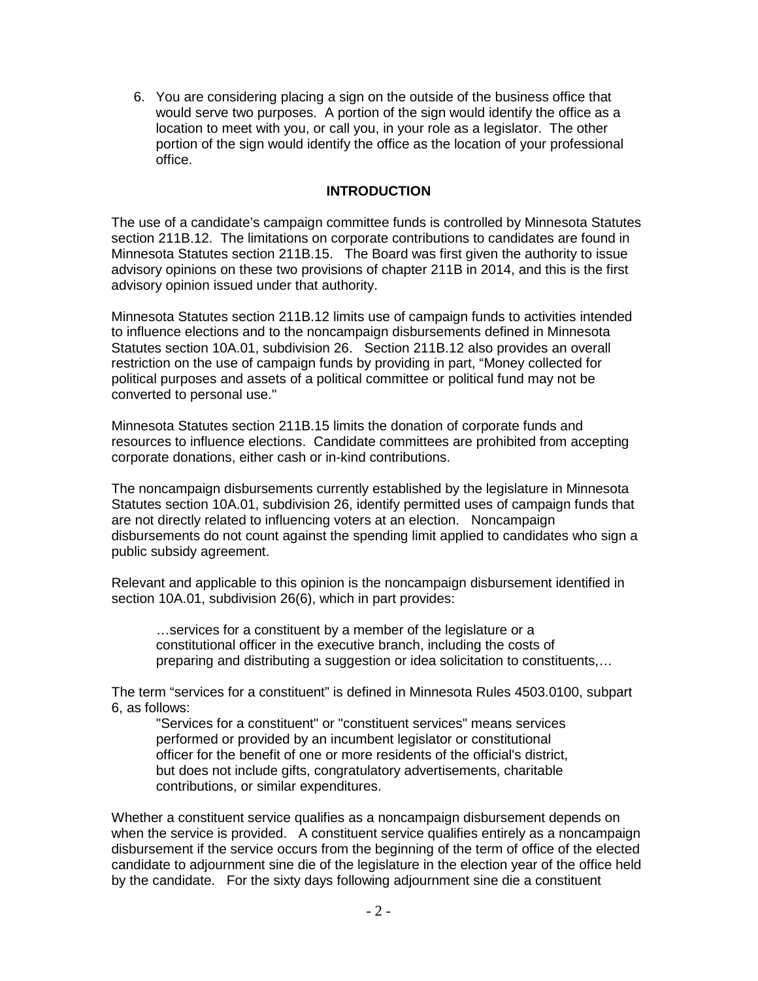6. You are considering placing a sign on the outside of the business office that would serve two purposes. A portion of the sign would identify the office as a location to meet with you, or call you, in your role as a legislator. The other portion of the sign would identify the office as the location of your professional office.

# **INTRODUCTION**

The use of a candidate's campaign committee funds is controlled by Minnesota Statutes section 211B.12. The limitations on corporate contributions to candidates are found in Minnesota Statutes section 211B.15. The Board was first given the authority to issue advisory opinions on these two provisions of chapter 211B in 2014, and this is the first advisory opinion issued under that authority.

Minnesota Statutes section 211B.12 limits use of campaign funds to activities intended to influence elections and to the noncampaign disbursements defined in Minnesota Statutes section 10A.01, subdivision 26. Section 211B.12 also provides an overall restriction on the use of campaign funds by providing in part, "Money collected for political purposes and assets of a political committee or political fund may not be converted to personal use."

Minnesota Statutes section 211B.15 limits the donation of corporate funds and resources to influence elections. Candidate committees are prohibited from accepting corporate donations, either cash or in-kind contributions.

The noncampaign disbursements currently established by the legislature in Minnesota Statutes section 10A.01, subdivision 26, identify permitted uses of campaign funds that are not directly related to influencing voters at an election. Noncampaign disbursements do not count against the spending limit applied to candidates who sign a public subsidy agreement.

Relevant and applicable to this opinion is the noncampaign disbursement identified in section 10A.01, subdivision 26(6), which in part provides:

…services for a constituent by a member of the legislature or a constitutional officer in the executive branch, including the costs of preparing and distributing a suggestion or idea solicitation to constituents,…

The term "services for a constituent" is defined in Minnesota Rules 4503.0100, subpart 6, as follows:

"Services for a constituent" or "constituent services" means services performed or provided by an incumbent legislator or constitutional officer for the benefit of one or more residents of the official's district, but does not include gifts, congratulatory advertisements, charitable contributions, or similar expenditures.

Whether a constituent service qualifies as a noncampaign disbursement depends on when the service is provided. A constituent service qualifies entirely as a noncampaign disbursement if the service occurs from the beginning of the term of office of the elected candidate to adjournment sine die of the legislature in the election year of the office held by the candidate. For the sixty days following adjournment sine die a constituent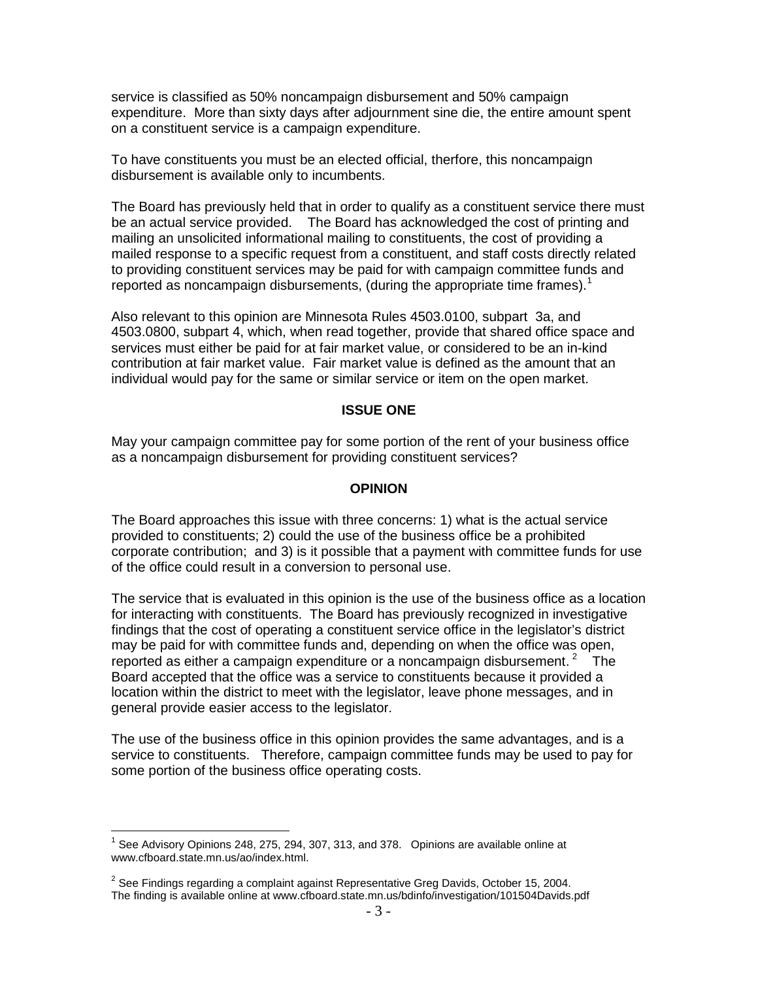service is classified as 50% noncampaign disbursement and 50% campaign expenditure. More than sixty days after adjournment sine die, the entire amount spent on a constituent service is a campaign expenditure.

To have constituents you must be an elected official, therfore, this noncampaign disbursement is available only to incumbents.

The Board has previously held that in order to qualify as a constituent service there must be an actual service provided. The Board has acknowledged the cost of printing and mailing an unsolicited informational mailing to constituents, the cost of providing a mailed response to a specific request from a constituent, and staff costs directly related to providing constituent services may be paid for with campaign committee funds and reported as noncampaign disbursements, (during the appropriate time frames).<sup>[1](#page-2-0)</sup>

Also relevant to this opinion are Minnesota Rules 4503.0100, subpart 3a, and 4503.0800, subpart 4, which, when read together, provide that shared office space and services must either be paid for at fair market value, or considered to be an in-kind contribution at fair market value. Fair market value is defined as the amount that an individual would pay for the same or similar service or item on the open market.

#### **ISSUE ONE**

May your campaign committee pay for some portion of the rent of your business office as a noncampaign disbursement for providing constituent services?

### **OPINION**

The Board approaches this issue with three concerns: 1) what is the actual service provided to constituents; 2) could the use of the business office be a prohibited corporate contribution; and 3) is it possible that a payment with committee funds for use of the office could result in a conversion to personal use.

The service that is evaluated in this opinion is the use of the business office as a location for interacting with constituents. The Board has previously recognized in investigative findings that the cost of operating a constituent service office in the legislator's district may be paid for with committee funds and, depending on when the office was open, reported as either a campaign expenditure or a noncampaign disbursement.<sup>[2](#page-2-1)</sup> The Board accepted that the office was a service to constituents because it provided a location within the district to meet with the legislator, leave phone messages, and in general provide easier access to the legislator.

The use of the business office in this opinion provides the same advantages, and is a service to constituents. Therefore, campaign committee funds may be used to pay for some portion of the business office operating costs.

<span id="page-2-0"></span><sup>&</sup>lt;sup>1</sup> See Advisory Opinions 248, 275, 294, 307, 313, and 378. Opinions are available online at www.cfboard.state.mn.us/ao/index.html.

<span id="page-2-1"></span> $2$  See Findings regarding a complaint against Representative Greg Davids, October 15, 2004. The finding is available online at www.cfboard.state.mn.us/bdinfo/investigation/101504Davids.pdf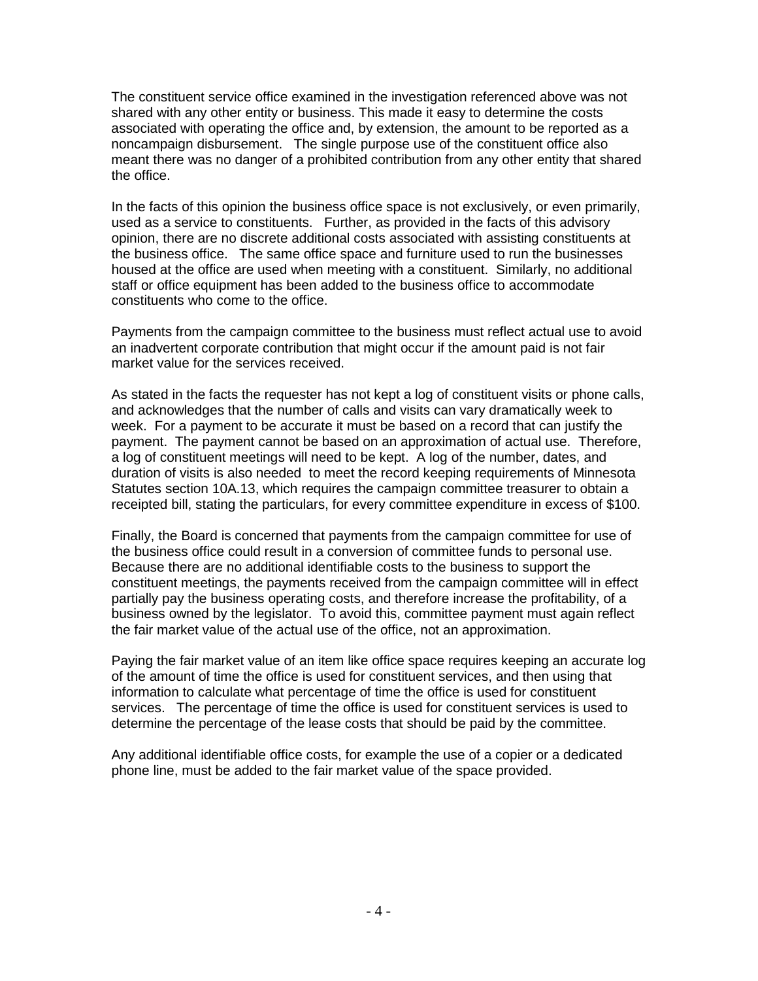The constituent service office examined in the investigation referenced above was not shared with any other entity or business. This made it easy to determine the costs associated with operating the office and, by extension, the amount to be reported as a noncampaign disbursement. The single purpose use of the constituent office also meant there was no danger of a prohibited contribution from any other entity that shared the office.

In the facts of this opinion the business office space is not exclusively, or even primarily, used as a service to constituents. Further, as provided in the facts of this advisory opinion, there are no discrete additional costs associated with assisting constituents at the business office. The same office space and furniture used to run the businesses housed at the office are used when meeting with a constituent. Similarly, no additional staff or office equipment has been added to the business office to accommodate constituents who come to the office.

Payments from the campaign committee to the business must reflect actual use to avoid an inadvertent corporate contribution that might occur if the amount paid is not fair market value for the services received.

As stated in the facts the requester has not kept a log of constituent visits or phone calls, and acknowledges that the number of calls and visits can vary dramatically week to week. For a payment to be accurate it must be based on a record that can justify the payment. The payment cannot be based on an approximation of actual use. Therefore, a log of constituent meetings will need to be kept. A log of the number, dates, and duration of visits is also needed to meet the record keeping requirements of Minnesota Statutes section 10A.13, which requires the campaign committee treasurer to obtain a receipted bill, stating the particulars, for every committee expenditure in excess of \$100.

Finally, the Board is concerned that payments from the campaign committee for use of the business office could result in a conversion of committee funds to personal use. Because there are no additional identifiable costs to the business to support the constituent meetings, the payments received from the campaign committee will in effect partially pay the business operating costs, and therefore increase the profitability, of a business owned by the legislator. To avoid this, committee payment must again reflect the fair market value of the actual use of the office, not an approximation.

Paying the fair market value of an item like office space requires keeping an accurate log of the amount of time the office is used for constituent services, and then using that information to calculate what percentage of time the office is used for constituent services. The percentage of time the office is used for constituent services is used to determine the percentage of the lease costs that should be paid by the committee.

Any additional identifiable office costs, for example the use of a copier or a dedicated phone line, must be added to the fair market value of the space provided.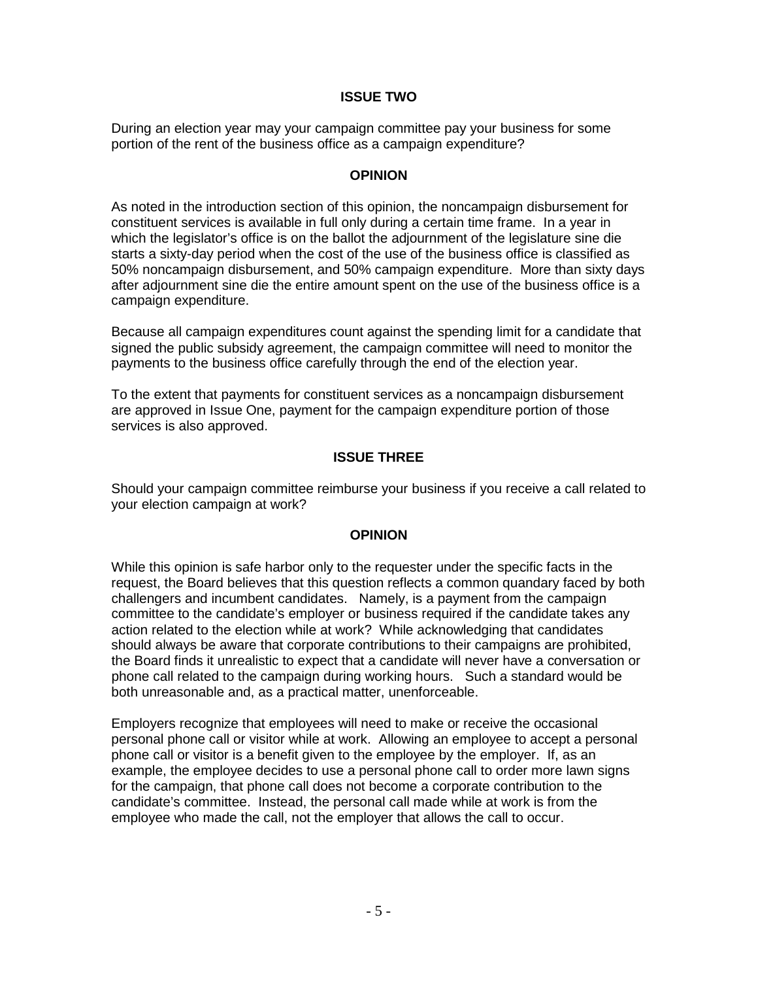## **ISSUE TWO**

During an election year may your campaign committee pay your business for some portion of the rent of the business office as a campaign expenditure?

### **OPINION**

As noted in the introduction section of this opinion, the noncampaign disbursement for constituent services is available in full only during a certain time frame. In a year in which the legislator's office is on the ballot the adjournment of the legislature sine die starts a sixty-day period when the cost of the use of the business office is classified as 50% noncampaign disbursement, and 50% campaign expenditure. More than sixty days after adjournment sine die the entire amount spent on the use of the business office is a campaign expenditure.

Because all campaign expenditures count against the spending limit for a candidate that signed the public subsidy agreement, the campaign committee will need to monitor the payments to the business office carefully through the end of the election year.

To the extent that payments for constituent services as a noncampaign disbursement are approved in Issue One, payment for the campaign expenditure portion of those services is also approved.

# **ISSUE THREE**

Should your campaign committee reimburse your business if you receive a call related to your election campaign at work?

#### **OPINION**

While this opinion is safe harbor only to the requester under the specific facts in the request, the Board believes that this question reflects a common quandary faced by both challengers and incumbent candidates. Namely, is a payment from the campaign committee to the candidate's employer or business required if the candidate takes any action related to the election while at work? While acknowledging that candidates should always be aware that corporate contributions to their campaigns are prohibited, the Board finds it unrealistic to expect that a candidate will never have a conversation or phone call related to the campaign during working hours. Such a standard would be both unreasonable and, as a practical matter, unenforceable.

Employers recognize that employees will need to make or receive the occasional personal phone call or visitor while at work. Allowing an employee to accept a personal phone call or visitor is a benefit given to the employee by the employer. If, as an example, the employee decides to use a personal phone call to order more lawn signs for the campaign, that phone call does not become a corporate contribution to the candidate's committee. Instead, the personal call made while at work is from the employee who made the call, not the employer that allows the call to occur.